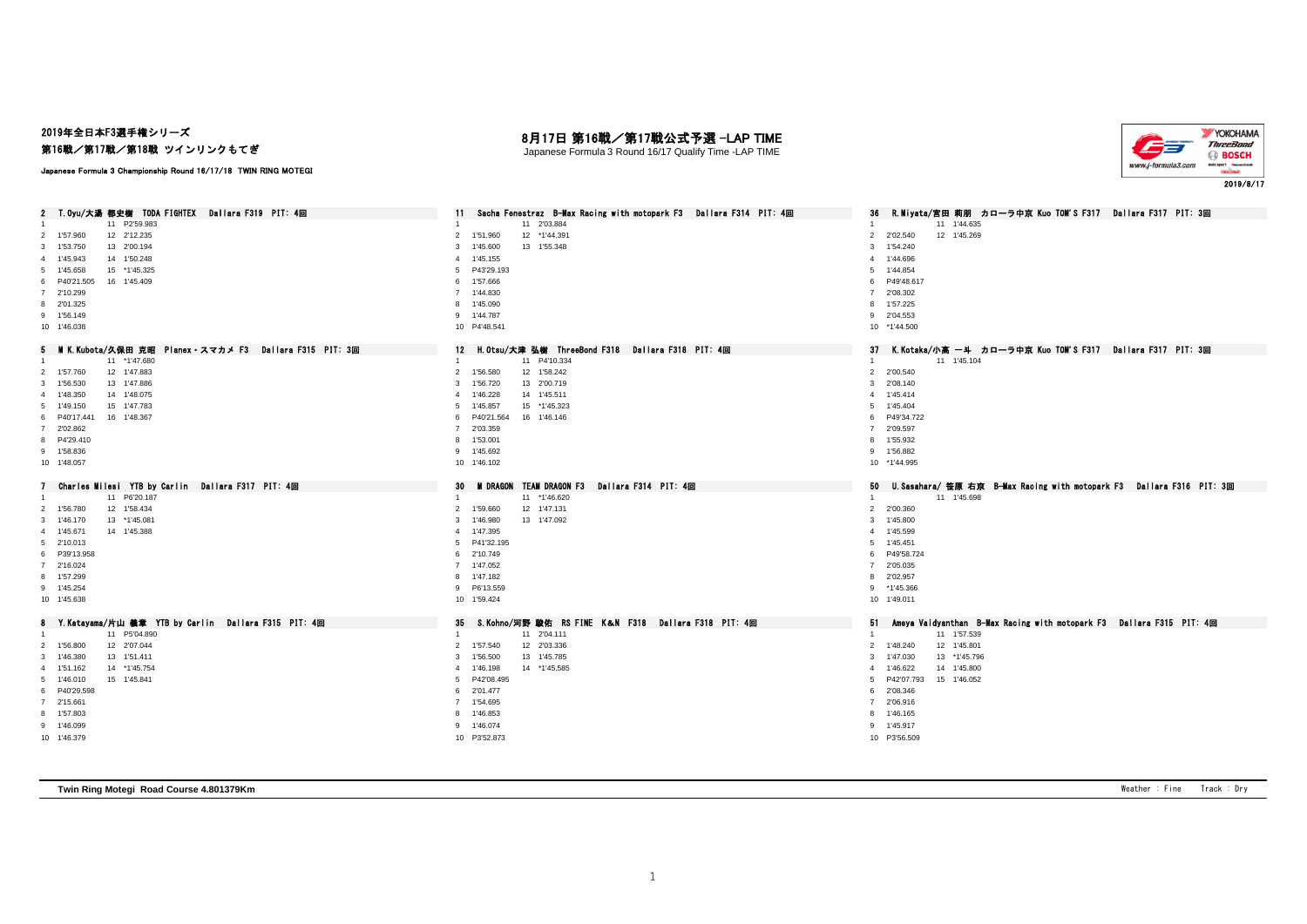### 2019年全日本F3選手権シリーズ 第16戦/第17戦/第18戦 ツインリンクもてぎ

Japanese Formula 3 Championship Round 16/17/18 TWIN RING MOTEGI

# 月17日 第16戦/第17戦公式予選 -LAP TIME

Japanese Formula 3 Round 16/17 Qualify Time -LAP TIME



#### 2 T.Oyu/大湯 都史樹 TODA FIGHTEX Dallara F319 PIT: 4回 11 Sacha Fenestraz B-Max Racing with motopark F3 Dallara F314 PIT: 4回 36 R.Miyata/宮田 莉朋 カローラ中京 Kuo TOM'S F317 Dallara F317 PIT: 3回 11 P2'59.983 1 11 2'03.884 1 11 1'44.635 1'57.960 12 2'12.235 2 1'51.960 12 \*1'44.391 2 2'02.540 12 1'45.269 1'53.750 13 2'00.194 3 1'45.600 13 1'55.348 3 1'54.240 1'45.943 14 1'50.248 4 1'45.155 4 1'44.696 1'45.658 15 \*1'45.325 5 P43'29.193 5 1'44.854 P40'21.505 16 1'45.409 6 1'57.666 6 P49'48.617 2'10.299 7 1'44.830 7 2'08.302 2'01.325 8 1'45.090 8 1'57.225 1'56.149 9 1'44.787 9 2'04.553 1'46.038 10 P4'48.541 10 \*1'44.500 5 MIK.Kubota/久保田 克昭 Planex・スマカメ F3 Dallara F315 PIT: 3回 12 H.Otsu/大津 弘樹 ThreeBond F318 Dallara F318 PIT: 4回 37 K.Kotaka/小高 一斗 カローラ中京 Kuo TOM'S F317 Dallara F317 PIT: 3回<br>1 11 1147.680 11 1147.680 11 \*1'47.680 1 11 P4'10.334 1 11 1'45.104 1'57.760 12 1'47.883 2 1'56.580 12 1'58.242 2 2'00.540 1'56.530 13 1'47.886 3 1'56.720 13 2'00.719 3 2'08.140 1'48.350 14 1'48.075 4 1'46.228 14 1'45.511 4 1'45.414 1'49.150 15 1'47.783 5 1'45.857 15 \*1'45.323 5 1'45.404 P40'17.441 16 1'48.367 6 P40'21.564 16 1'46.146 6 P49'34.722 2'02.862 7 2'03.359 7 2'09.597 P4'29.410 8 1'53.001 8 1'55.932 1'58.836 9 1'45.692 9 1'56.882 1'48.057 10 1'46.102 10 \*1'44.995 7 Charles Milesi YTB by Carlin Dallara F317 PIT: 4回 30 MIDRAGON TEAM DRAGON TEAM DRAGON F3 Dallara F314 PIT: 4回 50 U.Sasahara/ 笹原 右京 B-Max Racing with motopark F3 Dallara F316 PIT: 3回<br>1 1 1 P6'20.187 1 1 11-6.620 1 1 11-15.698 1'56.780 12 1'58.434 2 1'59.660 12 1'47.131 2 2'00.360 1'46.170 13 \*1'45.081 3 1'46.980 13 1'47.092 3 1'45.800 1'45.671 14 1'45.388 4 1'47.395 4 1'45.599 2'10.013 5 P41'32.195 5 1'45.451 P39'13.958 6 2'10.749 6 P49'58.724 2'16.024 7 1'47.052 7 2'05.035 1'57.299 8 1'47.182 8 2'02.957 1'45.254 9 P6'13.559 9 \*1'45.366 1'45.638 10 1'59.424 10 1'49.011 8 Y.Katayama/片山 義章 YTB by Carlin Dallara F315 PIT: 4回 35 S.Kohno/河野 駿佑 RS FINE K&N F318 Dallara F318 PIT: 4回 51 Ameya Vaidyanthan B-Max Racing with motopark F3 Dallara F315 PIT: 4回 1 1 11 P5'04.890 1 1 11 1'57.539 1 1 1 11 2'04.111 1 12'04.111 1 11 11 11 11 11 11 11 11 11 11 157.539 1'56.800 12 2'07.044 2 1'57.540 12 2'03.336 2 1'48.240 12 1'45.801 1'46.380 13 1'51.411 3 1'56.500 13 1'45.785 3 1'47.030 13 \*1'45.796 1'51.162 14 \*1'45.754 4 1'46.198 14 \*1'45.585 4 1'46.622 14 1'45.800 1'46.010 15 1'45.841 5 P42'08.495 5 P42'07.793 15 1'46.052 P40'29.598 6 2'01.477 6 2'08.346 2'15.661 7 1'54.695 7 2'06.916 1'57.803 8 1'46.853 8 1'46.165 1'46.099 9 1'46.074 9 1'45.917 1'46.379 10 P3'52.873 10 P3'56.509

**Twin Ring Motegi Road Course 4.801379Km** Weather : Fine Track : Dry